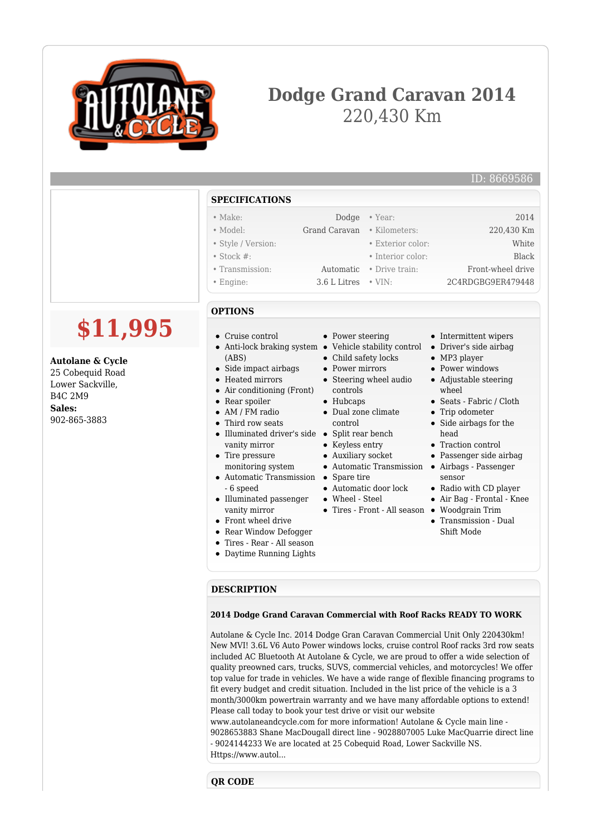

**Autolane & Cycle** 25 Cobequid Road Lower Sackville, B4C 2M9 **Sales:** 902-865-3883

# **Dodge Grand Caravan 2014** 220,430 Km

### ID: 8669586

## **SPECIFICATIONS**

| $\bullet$ Make:    |                             | Dodge • Year:     | 2014              |
|--------------------|-----------------------------|-------------------|-------------------|
| • Model:           | Grand Caravan • Kilometers: |                   | 220,430 Km        |
| • Style / Version: |                             | • Exterior color: | White             |
| $\bullet$ Stock #: |                             | • Interior color: | <b>Black</b>      |
| • Transmission:    | Automatic                   | • Drive train:    | Front-wheel drive |
| $\bullet$ Engine:  | $3.6$ L Litres $\cdot$ VIN: |                   | 2C4RDGBG9ER479448 |

# **\$11,995 OPTIONS**

- Cruise control
- Anti-lock braking system Vehicle stability control (ABS)
- Side impact airbags
- Heated mirrors
- Air conditioning (Front)
- Rear spoiler
- AM / FM radio
- Third row seats
- Illuminated driver's side Split rear bench vanity mirror
- Tire pressure monitoring system
- Automatic Transmission Spare tire - 6 speed
- Illuminated passenger vanity mirror
- Front wheel drive
- Rear Window Defogger
- Tires Rear All season
- Daytime Running Lights
- Power steering
- 
- Child safety locks
- Power mirrors
- Steering wheel audio
- controls
- Hubcaps
- Dual zone climate control
- 
- Keyless entry
- Auxiliary socket
- Automatic Transmission Airbags Passenger
- 
- Automatic door lock
- Wheel Steel
- Tires Front All season Woodgrain Trim
	- Transmission Dual Shift Mode

Radio with CD player Air Bag - Frontal - Knee

• Intermittent wipers Driver's side airbag MP3 player • Power windows Adjustable steering

Seats - Fabric / Cloth • Trip odometer • Side airbags for the

Traction control Passenger side airbag

wheel

head

sensor

### **DESCRIPTION**

#### **2014 Dodge Grand Caravan Commercial with Roof Racks READY TO WORK**

Autolane & Cycle Inc. 2014 Dodge Gran Caravan Commercial Unit Only 220430km! New MVI! 3.6L V6 Auto Power windows locks, cruise control Roof racks 3rd row seats included AC Bluetooth At Autolane & Cycle, we are proud to offer a wide selection of quality preowned cars, trucks, SUVS, commercial vehicles, and motorcycles! We offer top value for trade in vehicles. We have a wide range of flexible financing programs to fit every budget and credit situation. Included in the list price of the vehicle is a 3 month/3000km powertrain warranty and we have many affordable options to extend! Please call today to book your test drive or visit our website

www.autolaneandcycle.com for more information! Autolane & Cycle main line - 9028653883 Shane MacDougall direct line - 9028807005 Luke MacQuarrie direct line - 9024144233 We are located at 25 Cobequid Road, Lower Sackville NS. Https://www.autol...

# **QR CODE**